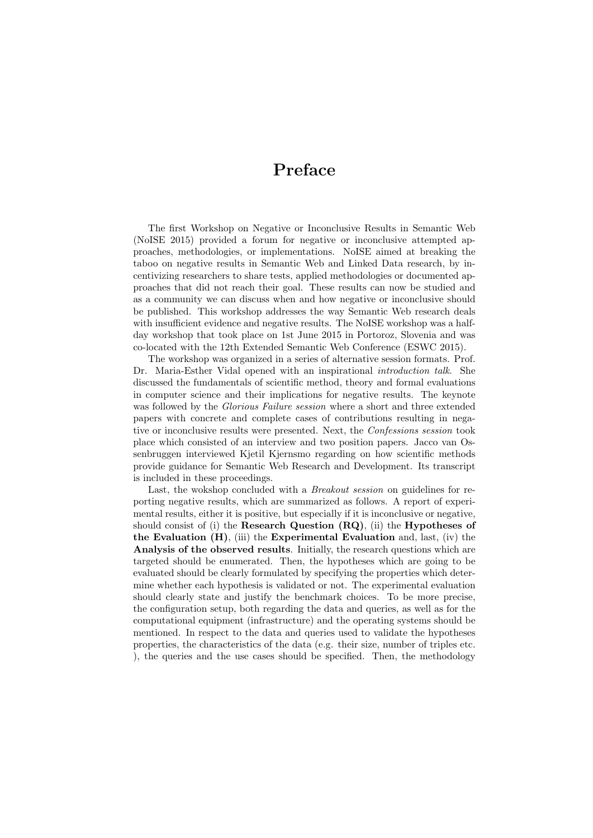## Preface

The first Workshop on Negative or Inconclusive Results in Semantic Web (NoISE 2015) provided a forum for negative or inconclusive attempted approaches, methodologies, or implementations. NoISE aimed at breaking the taboo on negative results in Semantic Web and Linked Data research, by incentivizing researchers to share tests, applied methodologies or documented approaches that did not reach their goal. These results can now be studied and as a community we can discuss when and how negative or inconclusive should be published. This workshop addresses the way Semantic Web research deals with insufficient evidence and negative results. The NoISE workshop was a halfday workshop that took place on 1st June 2015 in Portoroz, Slovenia and was co-located with the 12th Extended Semantic Web Conference (ESWC 2015).

The workshop was organized in a series of alternative session formats. Prof. Dr. Maria-Esther Vidal opened with an inspirational *introduction talk*. She discussed the fundamentals of scientific method, theory and formal evaluations in computer science and their implications for negative results. The keynote was followed by the Glorious Failure session where a short and three extended papers with concrete and complete cases of contributions resulting in negative or inconclusive results were presented. Next, the Confessions session took place which consisted of an interview and two position papers. Jacco van Ossenbruggen interviewed Kjetil Kjernsmo regarding on how scientific methods provide guidance for Semantic Web Research and Development. Its transcript is included in these proceedings.

Last, the wokshop concluded with a *Breakout session* on guidelines for reporting negative results, which are summarized as follows. A report of experimental results, either it is positive, but especially if it is inconclusive or negative, should consist of (i) the Research Question  $(RQ)$ , (ii) the Hypotheses of the Evaluation  $(H)$ , (iii) the Experimental Evaluation and, last, (iv) the Analysis of the observed results. Initially, the research questions which are targeted should be enumerated. Then, the hypotheses which are going to be evaluated should be clearly formulated by specifying the properties which determine whether each hypothesis is validated or not. The experimental evaluation should clearly state and justify the benchmark choices. To be more precise, the configuration setup, both regarding the data and queries, as well as for the computational equipment (infrastructure) and the operating systems should be mentioned. In respect to the data and queries used to validate the hypotheses properties, the characteristics of the data (e.g. their size, number of triples etc. ), the queries and the use cases should be specified. Then, the methodology